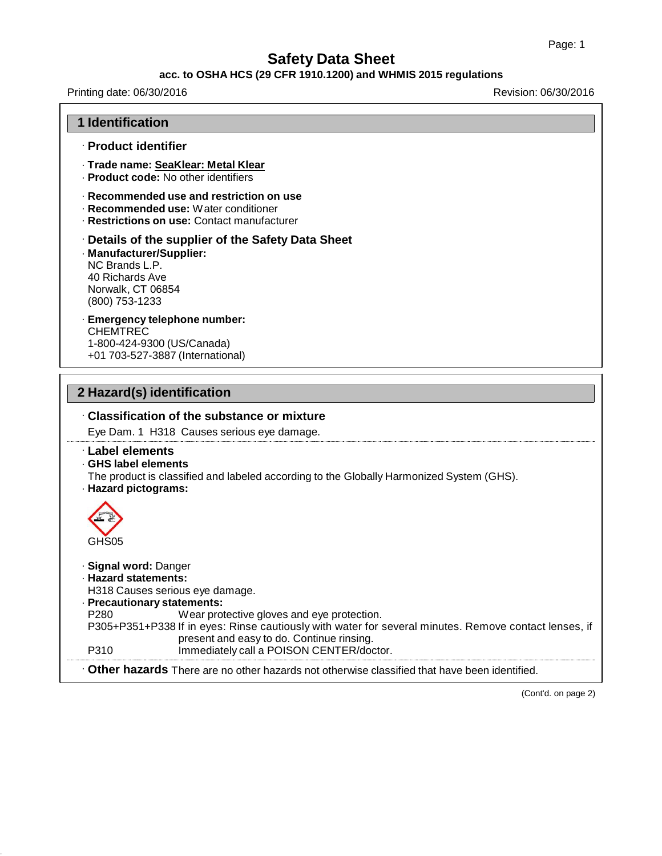#### **acc. to OSHA HCS (29 CFR 1910.1200) and WHMIS 2015 regulations**

Printing date: 06/30/2016 Revision: 06/30/2016

| 1 Identification                                                                                     |                                                                                                                                                                                                                                                                                 |  |
|------------------------------------------------------------------------------------------------------|---------------------------------------------------------------------------------------------------------------------------------------------------------------------------------------------------------------------------------------------------------------------------------|--|
| · Product identifier                                                                                 |                                                                                                                                                                                                                                                                                 |  |
|                                                                                                      | · Trade name: SeaKlear: Metal Klear<br>· Product code: No other identifiers                                                                                                                                                                                                     |  |
|                                                                                                      | $\cdot$ Recommended use and restriction on use<br>· Recommended use: Water conditioner<br>· Restrictions on use: Contact manufacturer                                                                                                                                           |  |
| · Manufacturer/Supplier:<br>NC Brands L.P.<br>40 Richards Ave<br>Norwalk, CT 06854<br>(800) 753-1233 | Details of the supplier of the Safety Data Sheet                                                                                                                                                                                                                                |  |
| <b>CHEMTREC</b>                                                                                      | · Emergency telephone number:<br>1-800-424-9300 (US/Canada)<br>+01 703-527-3887 (International)                                                                                                                                                                                 |  |
| 2 Hazard(s) identification                                                                           |                                                                                                                                                                                                                                                                                 |  |
|                                                                                                      | Classification of the substance or mixture                                                                                                                                                                                                                                      |  |
|                                                                                                      | Eye Dam. 1 H318 Causes serious eye damage.                                                                                                                                                                                                                                      |  |
| <b>Label elements</b><br>GHS label elements<br>· Hazard pictograms:<br>GHS <sub>05</sub>             | The product is classified and labeled according to the Globally Harmonized System (GHS).                                                                                                                                                                                        |  |
| · Signal word: Danger<br>· Hazard statements:<br>· Precautionary statements:<br>P280<br>P310         | H318 Causes serious eye damage.<br>Wear protective gloves and eye protection.<br>P305+P351+P338 If in eyes: Rinse cautiously with water for several minutes. Remove contact lenses, if<br>present and easy to do. Continue rinsing.<br>Immediately call a POISON CENTER/doctor. |  |
|                                                                                                      | . Other hazards There are no other hazards not otherwise classified that have been identified.                                                                                                                                                                                  |  |
|                                                                                                      |                                                                                                                                                                                                                                                                                 |  |

(Cont'd. on page 2)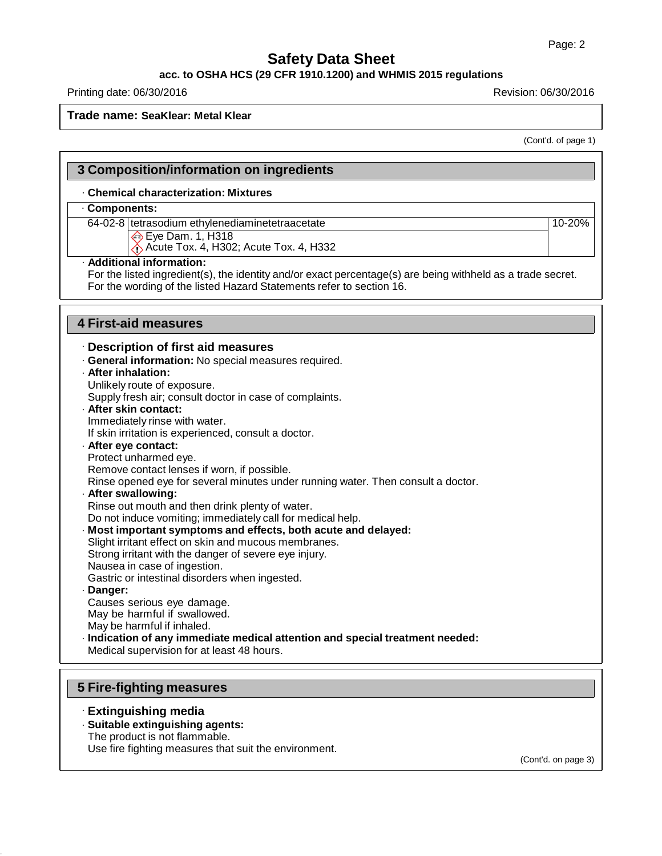#### **acc. to OSHA HCS (29 CFR 1910.1200) and WHMIS 2015 regulations**

## Printing date: 06/30/2016 **Revision: 06/30/2016** Revision: 06/30/2016

## **Trade name: SeaKlear: Metal Klear**

(Cont'd. of page 1)

| · Chemical characterization: Mixtures                                                                       |        |
|-------------------------------------------------------------------------------------------------------------|--------|
| Components:                                                                                                 |        |
| 64-02-8 tetrasodium ethylenediaminetetraacetate                                                             | 10-20% |
| $\diamondsuit$ Eye Dam. 1, H318                                                                             |        |
| Acute Tox. 4, H302; Acute Tox. 4, H332                                                                      |        |
| · Additional information:                                                                                   |        |
| For the listed ingredient(s), the identity and/or exact percentage(s) are being withheld as a trade secret. |        |
| For the wording of the listed Hazard Statements refer to section 16.                                        |        |
| <b>4 First-aid measures</b>                                                                                 |        |
|                                                                                                             |        |
| · Description of first aid measures                                                                         |        |
| · General information: No special measures required.                                                        |        |
| · After inhalation:                                                                                         |        |
| Unlikely route of exposure.                                                                                 |        |
| Supply fresh air; consult doctor in case of complaints.                                                     |        |
| · After skin contact:                                                                                       |        |
| Immediately rinse with water.                                                                               |        |
| If skin irritation is experienced, consult a doctor.                                                        |        |
| - After eye contact:                                                                                        |        |
| Protect unharmed eye.                                                                                       |        |
| Remove contact lenses if worn, if possible.                                                                 |        |
| Rinse opened eye for several minutes under running water. Then consult a doctor.                            |        |
| - After swallowing:                                                                                         |        |
| Rinse out mouth and then drink plenty of water.                                                             |        |
| Do not induce vomiting; immediately call for medical help.                                                  |        |
| · Most important symptoms and effects, both acute and delayed:                                              |        |
| Slight irritant effect on skin and mucous membranes.                                                        |        |
| Strong irritant with the danger of severe eye injury.                                                       |        |
| Nausea in case of ingestion.                                                                                |        |
| Gastric or intestinal disorders when ingested.                                                              |        |
| Danger:                                                                                                     |        |
| Causes serious eye damage.                                                                                  |        |
| May be harmful if swallowed.                                                                                |        |
| May be harmful if inhaled.                                                                                  |        |
| · Indication of any immediate medical attention and special treatment needed:                               |        |
| Medical supervision for at least 48 hours.                                                                  |        |
|                                                                                                             |        |
| <b>5 Fire-fighting measures</b>                                                                             |        |

· **Extinguishing media** · **Suitable extinguishing agents:**

The product is not flammable.

Use fire fighting measures that suit the environment.

(Cont'd. on page 3)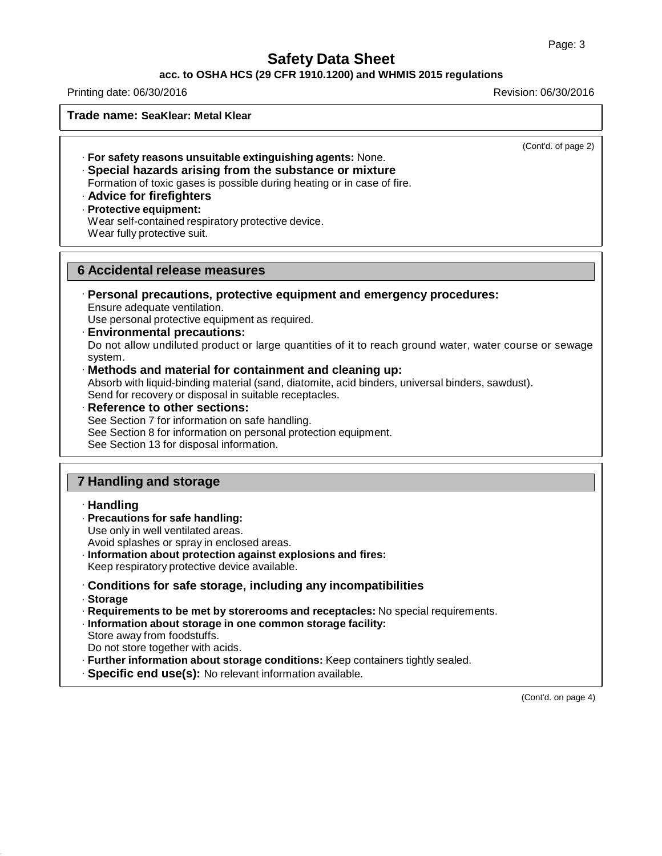#### **acc. to OSHA HCS (29 CFR 1910.1200) and WHMIS 2015 regulations**

Printing date: 06/30/2016 Revision: 06/30/2016

**Trade name: SeaKlear: Metal Klear**

(Cont'd. of page 2)

· **For safety reasons unsuitable extinguishing agents:** None.

· **Special hazards arising from the substance or mixture** Formation of toxic gases is possible during heating or in case of fire.

- · **Advice for firefighters**
- · **Protective equipment:**

Wear self-contained respiratory protective device. Wear fully protective suit.

## **6 Accidental release measures**

· **Personal precautions, protective equipment and emergency procedures:** Ensure adequate ventilation.

Use personal protective equipment as required.

- · **Environmental precautions:** Do not allow undiluted product or large quantities of it to reach ground water, water course or sewage system.
- · **Methods and material for containment and cleaning up:**

Absorb with liquid-binding material (sand, diatomite, acid binders, universal binders, sawdust). Send for recovery or disposal in suitable receptacles.

· **Reference to other sections:** See Section 7 for information on safe handling. See Section 8 for information on personal protection equipment. See Section 13 for disposal information.

## **7 Handling and storage**

#### · **Handling**

- · **Precautions for safe handling:**
- Use only in well ventilated areas.

Avoid splashes or spray in enclosed areas.

- · **Information about protection against explosions and fires:**
- Keep respiratory protective device available.
- · **Conditions for safe storage, including any incompatibilities**
- · **Storage**

· **Requirements to be met by storerooms and receptacles:** No special requirements.

- · **Information about storage in one common storage facility:** Store away from foodstuffs.
- Do not store together with acids.

· **Further information about storage conditions:** Keep containers tightly sealed.

· **Specific end use(s):** No relevant information available.

(Cont'd. on page 4)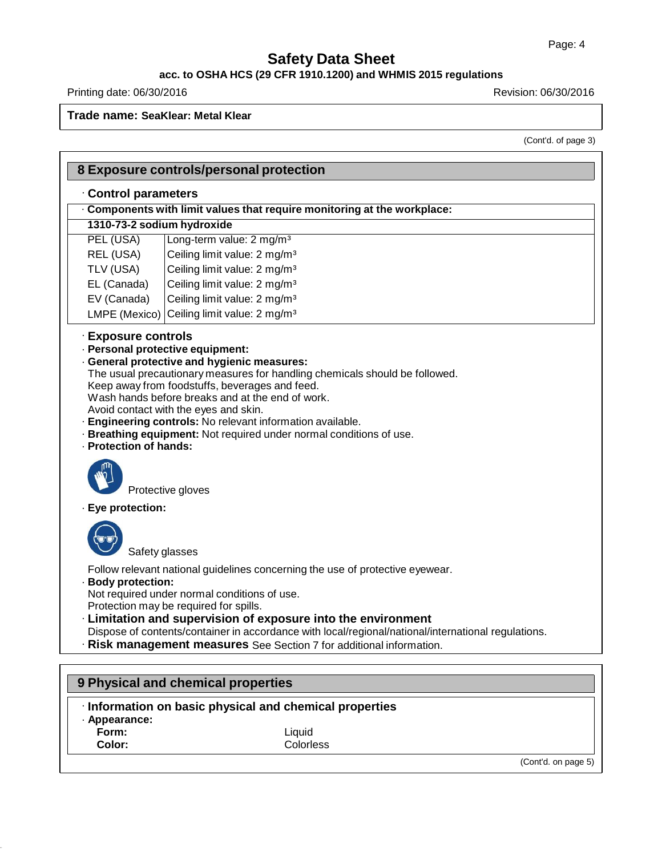#### **acc. to OSHA HCS (29 CFR 1910.1200) and WHMIS 2015 regulations**

Printing date: 06/30/2016 Revision: 06/30/2016

**Trade name: SeaKlear: Metal Klear**

(Cont'd. of page 3)

|                                               | 8 Exposure controls/personal protection                                                                                                                                                                                                                                                                                                                                                                                                                               |
|-----------------------------------------------|-----------------------------------------------------------------------------------------------------------------------------------------------------------------------------------------------------------------------------------------------------------------------------------------------------------------------------------------------------------------------------------------------------------------------------------------------------------------------|
| Control parameters                            |                                                                                                                                                                                                                                                                                                                                                                                                                                                                       |
|                                               | Components with limit values that require monitoring at the workplace:                                                                                                                                                                                                                                                                                                                                                                                                |
| 1310-73-2 sodium hydroxide                    |                                                                                                                                                                                                                                                                                                                                                                                                                                                                       |
| PEL (USA)                                     | Long-term value: 2 mg/m <sup>3</sup>                                                                                                                                                                                                                                                                                                                                                                                                                                  |
| REL (USA)                                     | Ceiling limit value: 2 mg/m <sup>3</sup>                                                                                                                                                                                                                                                                                                                                                                                                                              |
| TLV (USA)                                     | Ceiling limit value: 2 mg/m <sup>3</sup>                                                                                                                                                                                                                                                                                                                                                                                                                              |
| EL (Canada)                                   | Ceiling limit value: 2 mg/m <sup>3</sup>                                                                                                                                                                                                                                                                                                                                                                                                                              |
| EV (Canada)                                   | Ceiling limit value: 2 mg/m <sup>3</sup>                                                                                                                                                                                                                                                                                                                                                                                                                              |
| LMPE (Mexico)                                 | Ceiling limit value: 2 mg/m <sup>3</sup>                                                                                                                                                                                                                                                                                                                                                                                                                              |
| · Exposure controls<br>· Protection of hands: | · Personal protective equipment:<br>· General protective and hygienic measures:<br>The usual precautionary measures for handling chemicals should be followed.<br>Keep away from foodstuffs, beverages and feed.<br>Wash hands before breaks and at the end of work.<br>Avoid contact with the eyes and skin.<br>Engineering controls: No relevant information available.<br>· Breathing equipment: Not required under normal conditions of use.<br>Protective gloves |
| · Eye protection:                             |                                                                                                                                                                                                                                                                                                                                                                                                                                                                       |
| Safety glasses<br>· Body protection:          | Follow relevant national guidelines concerning the use of protective eyewear.<br>Not required under normal conditions of use.<br>Protection may be required for spills.<br>· Limitation and supervision of exposure into the environment<br>Dispose of contents/container in accordance with local/regional/national/international regulations.<br>· Risk management measures See Section 7 for additional information.                                               |
| · Appearance:<br>Form:                        | 9 Physical and chemical properties<br>· Information on basic physical and chemical properties<br>Liquid                                                                                                                                                                                                                                                                                                                                                               |
| Color:                                        | Colorless                                                                                                                                                                                                                                                                                                                                                                                                                                                             |
|                                               | (Cont'd. on page 5)                                                                                                                                                                                                                                                                                                                                                                                                                                                   |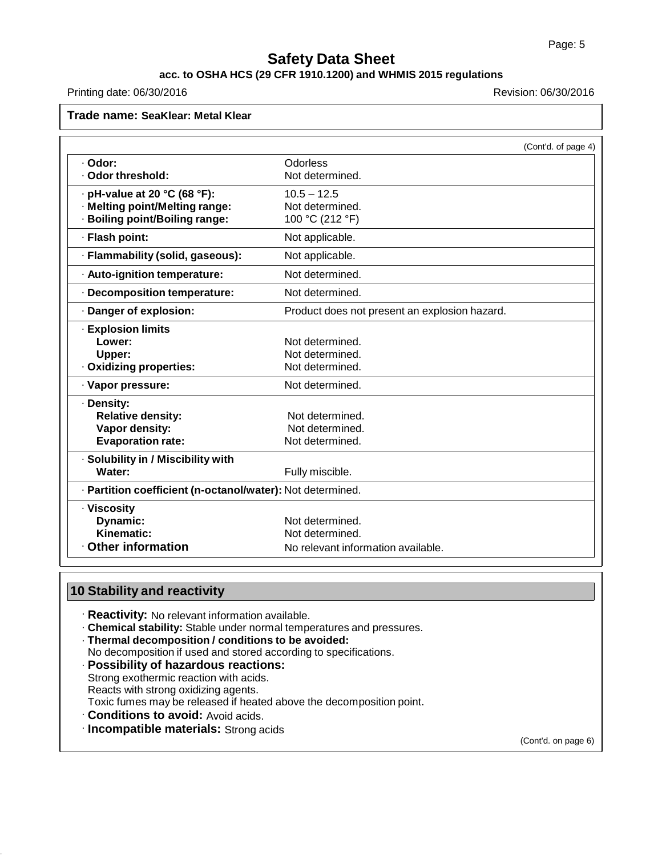# **acc. to OSHA HCS (29 CFR 1910.1200) and WHMIS 2015 regulations**

Printing date: 06/30/2016 **Revision: 06/30/2016** Revision: 06/30/2016

# **Trade name: SeaKlear: Metal Klear**

|                                                            | (Cont'd. of page 4)                           |
|------------------------------------------------------------|-----------------------------------------------|
| · Odor:                                                    | Odorless                                      |
| · Odor threshold:                                          | Not determined.                               |
| $\cdot$ pH-value at 20 °C (68 °F):                         | $10.5 - 12.5$                                 |
| · Melting point/Melting range:                             | Not determined.                               |
| · Boiling point/Boiling range:                             | 100 °C (212 °F)                               |
| · Flash point:                                             | Not applicable.                               |
| · Flammability (solid, gaseous):                           | Not applicable.                               |
| · Auto-ignition temperature:                               | Not determined.                               |
| · Decomposition temperature:                               | Not determined.                               |
| · Danger of explosion:                                     | Product does not present an explosion hazard. |
| <b>· Explosion limits</b>                                  |                                               |
| Lower:                                                     | Not determined.                               |
| Upper:                                                     | Not determined.                               |
| · Oxidizing properties:                                    | Not determined.                               |
| · Vapor pressure:                                          | Not determined.                               |
| · Density:                                                 |                                               |
| <b>Relative density:</b>                                   | Not determined.                               |
| Vapor density:                                             | Not determined.                               |
| <b>Evaporation rate:</b>                                   | Not determined.                               |
| · Solubility in / Miscibility with                         |                                               |
| Water:                                                     | Fully miscible.                               |
| · Partition coefficient (n-octanol/water): Not determined. |                                               |
| · Viscosity                                                |                                               |
| Dynamic:                                                   | Not determined.                               |
| Kinematic:                                                 | Not determined.                               |
| <b>Other information</b>                                   | No relevant information available.            |

# **10 Stability and reactivity**

- · **Reactivity:** No relevant information available.
- · **Chemical stability:** Stable under normal temperatures and pressures.
- · **Thermal decomposition / conditions to be avoided:**
- No decomposition if used and stored according to specifications.
- · **Possibility of hazardous reactions:** Strong exothermic reaction with acids.
- Reacts with strong oxidizing agents.
- Toxic fumes may be released if heated above the decomposition point.
- · **Conditions to avoid:** Avoid acids.
- · **Incompatible materials:** Strong acids

(Cont'd. on page 6)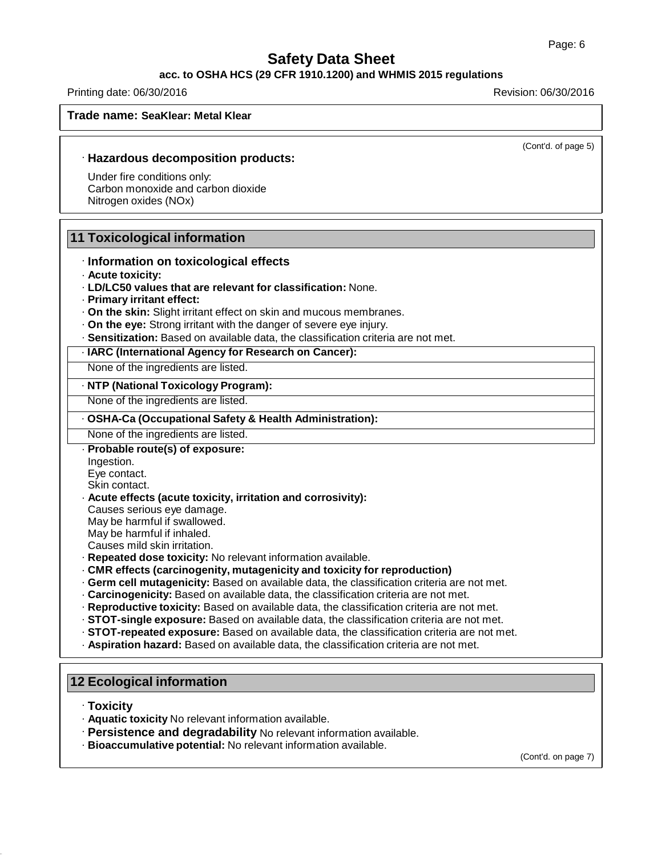#### **acc. to OSHA HCS (29 CFR 1910.1200) and WHMIS 2015 regulations**

Printing date: 06/30/2016 Revision: 06/30/2016

**Trade name: SeaKlear: Metal Klear**

(Cont'd. of page 5)

#### · **Hazardous decomposition products:**

Under fire conditions only: Carbon monoxide and carbon dioxide Nitrogen oxides (NOx)

## **11 Toxicological information**

- · **Information on toxicological effects**
- · **Acute toxicity:**
- · **LD/LC50 values that are relevant for classification:** None.
- · **Primary irritant effect:**
- · **On the skin:** Slight irritant effect on skin and mucous membranes.
- · **On the eye:** Strong irritant with the danger of severe eye injury.
- · **Sensitization:** Based on available data, the classification criteria are not met.
- · **IARC (International Agency for Research on Cancer):**

None of the ingredients are listed.

#### · **NTP (National Toxicology Program):**

None of the ingredients are listed.

#### · **OSHA-Ca (Occupational Safety & Health Administration):**

None of the ingredients are listed.

- · **Probable route(s) of exposure:**
- Ingestion.
- Eye contact.
- Skin contact. · **Acute effects (acute toxicity, irritation and corrosivity):**
- Causes serious eye damage.

May be harmful if swallowed.

- May be harmful if inhaled.
- Causes mild skin irritation.
- · **Repeated dose toxicity:** No relevant information available.
- · **CMR effects (carcinogenity, mutagenicity and toxicity for reproduction)**
- · **Germ cell mutagenicity:** Based on available data, the classification criteria are not met.
- · **Carcinogenicity:** Based on available data, the classification criteria are not met.
- · **Reproductive toxicity:** Based on available data, the classification criteria are not met.
- · **STOT-single exposure:** Based on available data, the classification criteria are not met.
- · **STOT-repeated exposure:** Based on available data, the classification criteria are not met.
- · **Aspiration hazard:** Based on available data, the classification criteria are not met.

## **12 Ecological information**

- · **Toxicity**
- · **Aquatic toxicity** No relevant information available.
- · **Persistence and degradability** No relevant information available.
- · **Bioaccumulative potential:** No relevant information available.

(Cont'd. on page 7)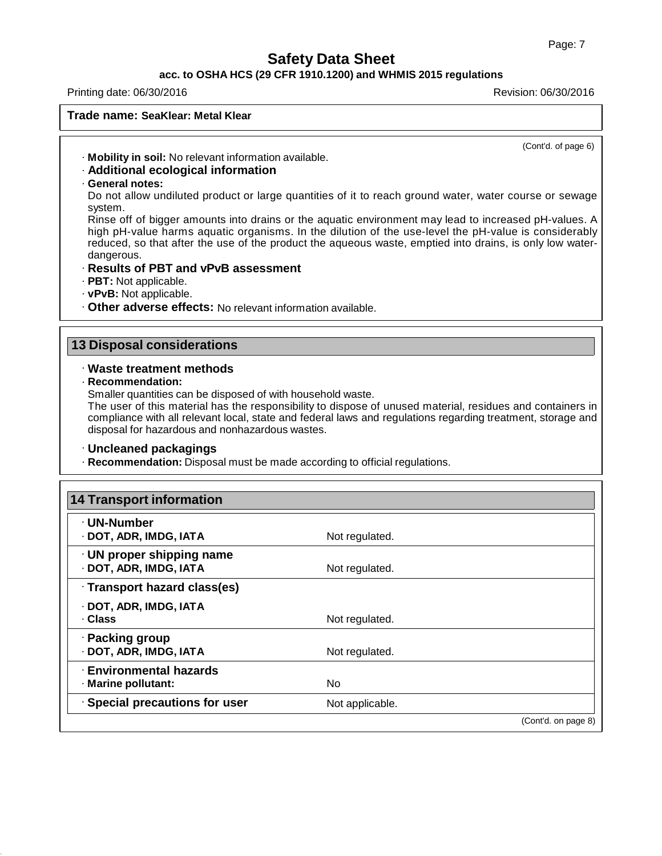## **acc. to OSHA HCS (29 CFR 1910.1200) and WHMIS 2015 regulations**

#### Printing date: 06/30/2016 Revision: 06/30/2016

## **Trade name: SeaKlear: Metal Klear**

(Cont'd. of page 6)

· **Mobility in soil:** No relevant information available.

## · **Additional ecological information**

· **General notes:**

Do not allow undiluted product or large quantities of it to reach ground water, water course or sewage system.

Rinse off of bigger amounts into drains or the aquatic environment may lead to increased pH-values. A high pH-value harms aquatic organisms. In the dilution of the use-level the pH-value is considerably reduced, so that after the use of the product the aqueous waste, emptied into drains, is only low waterdangerous.

## · **Results of PBT and vPvB assessment**

- · **PBT:** Not applicable.
- · **vPvB:** Not applicable.
- · **Other adverse effects:** No relevant information available.

## **13 Disposal considerations**

### · **Waste treatment methods**

· **Recommendation:**

Smaller quantities can be disposed of with household waste.

The user of this material has the responsibility to dispose of unused material, residues and containers in compliance with all relevant local, state and federal laws and regulations regarding treatment, storage and disposal for hazardous and nonhazardous wastes.

## · **Uncleaned packagings**

· **Recommendation:** Disposal must be made according to official regulations.

| <b>14 Transport information</b> |                 |                     |
|---------------------------------|-----------------|---------------------|
| · UN-Number                     |                 |                     |
| · DOT, ADR, IMDG, IATA          | Not regulated.  |                     |
| · UN proper shipping name       |                 |                     |
| · DOT, ADR, IMDG, IATA          | Not regulated.  |                     |
| · Transport hazard class(es)    |                 |                     |
| · DOT, ADR, IMDG, IATA          |                 |                     |
| · Class                         | Not regulated.  |                     |
| · Packing group                 |                 |                     |
| · DOT, ADR, IMDG, IATA          | Not regulated.  |                     |
| · Environmental hazards         |                 |                     |
| · Marine pollutant:             | N <sub>o</sub>  |                     |
| · Special precautions for user  | Not applicable. |                     |
|                                 |                 | (Cont'd. on page 8) |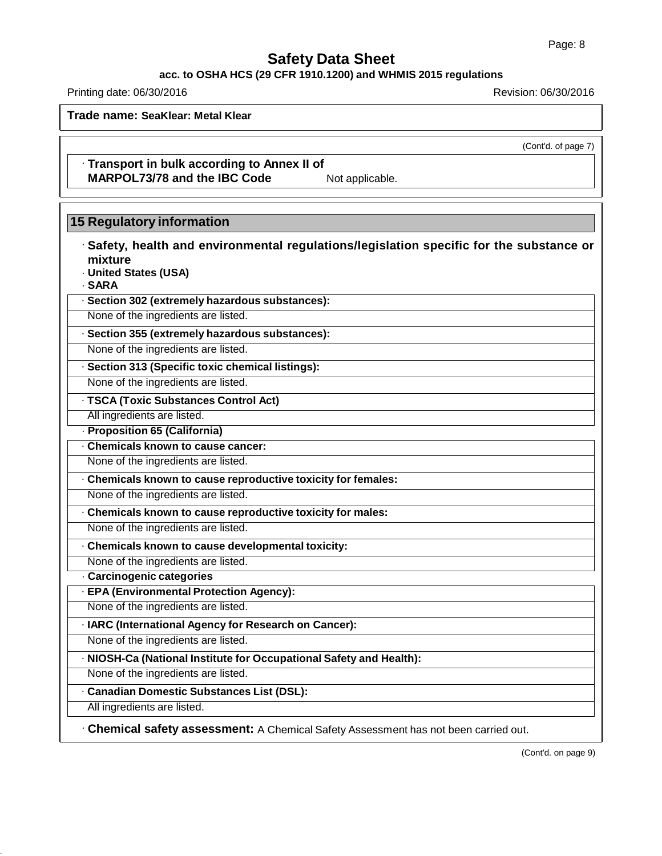# **acc. to OSHA HCS (29 CFR 1910.1200) and WHMIS 2015 regulations**

Printing date: 06/30/2016 **Revision: 06/30/2016** Revision: 06/30/2016

**Trade name: SeaKlear: Metal Klear**

(Cont'd. of page 7)

· **Transport in bulk according to Annex II of MARPOL73/78 and the IBC Code** Not applicable.

# **15 Regulatory information**

| · Safety, health and environmental regulations/legislation specific for the substance or<br>mixture<br>· United States (USA)<br>· SARA |
|----------------------------------------------------------------------------------------------------------------------------------------|
| · Section 302 (extremely hazardous substances):                                                                                        |
| None of the ingredients are listed.                                                                                                    |
| · Section 355 (extremely hazardous substances):                                                                                        |
| None of the ingredients are listed.                                                                                                    |
| · Section 313 (Specific toxic chemical listings):                                                                                      |
| None of the ingredients are listed.                                                                                                    |
| · TSCA (Toxic Substances Control Act)                                                                                                  |
| All ingredients are listed.                                                                                                            |
| - Proposition 65 (California)                                                                                                          |
| · Chemicals known to cause cancer:                                                                                                     |
| None of the ingredients are listed.                                                                                                    |
| Chemicals known to cause reproductive toxicity for females:                                                                            |
| None of the ingredients are listed.                                                                                                    |
| Chemicals known to cause reproductive toxicity for males:                                                                              |
| None of the ingredients are listed.                                                                                                    |
| . Chemicals known to cause developmental toxicity:                                                                                     |
| None of the ingredients are listed.                                                                                                    |
| · Carcinogenic categories                                                                                                              |
| · EPA (Environmental Protection Agency):                                                                                               |
| None of the ingredients are listed.                                                                                                    |
| · IARC (International Agency for Research on Cancer):                                                                                  |
| None of the ingredients are listed.                                                                                                    |
| · NIOSH-Ca (National Institute for Occupational Safety and Health):                                                                    |
| None of the ingredients are listed.                                                                                                    |
| · Canadian Domestic Substances List (DSL):                                                                                             |
| All ingredients are listed.                                                                                                            |
| · Chemical safety assessment: A Chemical Safety Assessment has not been carried out.                                                   |

(Cont'd. on page 9)